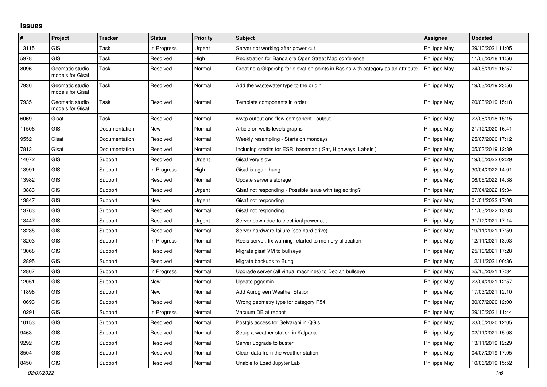## **Issues**

| #     | Project                             | <b>Tracker</b> | <b>Status</b> | <b>Priority</b> | <b>Subject</b>                                                                   | <b>Assignee</b> | <b>Updated</b>   |
|-------|-------------------------------------|----------------|---------------|-----------------|----------------------------------------------------------------------------------|-----------------|------------------|
| 13115 | <b>GIS</b>                          | Task           | In Progress   | Urgent          | Server not working after power cut                                               | Philippe May    | 29/10/2021 11:05 |
| 5978  | <b>GIS</b>                          | Task           | Resolved      | High            | Registration for Bangalore Open Street Map conference                            | Philippe May    | 11/06/2018 11:56 |
| 8096  | Geomatic studio<br>models for Gisaf | Task           | Resolved      | Normal          | Creating a Gkpg/shp for elevation points in Basins with category as an attribute | Philippe May    | 24/05/2019 16:57 |
| 7936  | Geomatic studio<br>models for Gisaf | Task           | Resolved      | Normal          | Add the wastewater type to the origin                                            | Philippe May    | 19/03/2019 23:56 |
| 7935  | Geomatic studio<br>models for Gisaf | Task           | Resolved      | Normal          | Template components in order                                                     | Philippe May    | 20/03/2019 15:18 |
| 6069  | Gisaf                               | Task           | Resolved      | Normal          | wwtp output and flow component - output                                          | Philippe May    | 22/06/2018 15:15 |
| 11506 | <b>GIS</b>                          | Documentation  | New           | Normal          | Article on wells levels graphs                                                   | Philippe May    | 21/12/2020 16:41 |
| 9552  | Gisaf                               | Documentation  | Resolved      | Normal          | Weekly resampling - Starts on mondays                                            | Philippe May    | 25/07/2020 17:12 |
| 7813  | Gisaf                               | Documentation  | Resolved      | Normal          | Including credits for ESRI basemap (Sat, Highways, Labels)                       | Philippe May    | 05/03/2019 12:39 |
| 14072 | <b>GIS</b>                          | Support        | Resolved      | Urgent          | Gisaf very slow                                                                  | Philippe May    | 19/05/2022 02:29 |
| 13991 | <b>GIS</b>                          | Support        | In Progress   | High            | Gisaf is again hung                                                              | Philippe May    | 30/04/2022 14:01 |
| 13982 | <b>GIS</b>                          | Support        | Resolved      | Normal          | Update server's storage                                                          | Philippe May    | 06/05/2022 14:38 |
| 13883 | GIS                                 | Support        | Resolved      | Urgent          | Gisaf not responding - Possible issue with tag editing?                          | Philippe May    | 07/04/2022 19:34 |
| 13847 | <b>GIS</b>                          | Support        | New           | Urgent          | Gisaf not responding                                                             | Philippe May    | 01/04/2022 17:08 |
| 13763 | <b>GIS</b>                          | Support        | Resolved      | Normal          | Gisaf not responding                                                             | Philippe May    | 11/03/2022 13:03 |
| 13447 | <b>GIS</b>                          | Support        | Resolved      | Urgent          | Server down due to electrical power cut                                          | Philippe May    | 31/12/2021 17:14 |
| 13235 | <b>GIS</b>                          | Support        | Resolved      | Normal          | Server hardware failure (sdc hard drive)                                         | Philippe May    | 19/11/2021 17:59 |
| 13203 | <b>GIS</b>                          | Support        | In Progress   | Normal          | Redis server: fix warning relarted to memory allocation                          | Philippe May    | 12/11/2021 13:03 |
| 13068 | <b>GIS</b>                          | Support        | Resolved      | Normal          | Migrate gisaf VM to bullseye                                                     | Philippe May    | 25/10/2021 17:28 |
| 12895 | <b>GIS</b>                          | Support        | Resolved      | Normal          | Migrate backups to Bung                                                          | Philippe May    | 12/11/2021 00:36 |
| 12867 | <b>GIS</b>                          | Support        | In Progress   | Normal          | Upgrade server (all virtual machines) to Debian bullseye                         | Philippe May    | 25/10/2021 17:34 |
| 12051 | <b>GIS</b>                          | Support        | New           | Normal          | Update pgadmin                                                                   | Philippe May    | 22/04/2021 12:57 |
| 11898 | <b>GIS</b>                          | Support        | New           | Normal          | Add Aurogreen Weather Station                                                    | Philippe May    | 17/03/2021 12:10 |
| 10693 | <b>GIS</b>                          | Support        | Resolved      | Normal          | Wrong geometry type for category R54                                             | Philippe May    | 30/07/2020 12:00 |
| 10291 | <b>GIS</b>                          | Support        | In Progress   | Normal          | Vacuum DB at reboot                                                              | Philippe May    | 29/10/2021 11:44 |
| 10153 | <b>GIS</b>                          | Support        | Resolved      | Normal          | Postgis access for Selvarani in QGis                                             | Philippe May    | 23/05/2020 12:05 |
| 9463  | <b>GIS</b>                          | Support        | Resolved      | Normal          | Setup a weather station in Kalpana                                               | Philippe May    | 02/11/2021 15:08 |
| 9292  | <b>GIS</b>                          | Support        | Resolved      | Normal          | Server upgrade to buster                                                         | Philippe May    | 13/11/2019 12:29 |
| 8504  | <b>GIS</b>                          | Support        | Resolved      | Normal          | Clean data from the weather station                                              | Philippe May    | 04/07/2019 17:05 |
| 8450  | <b>GIS</b>                          | Support        | Resolved      | Normal          | Unable to Load Jupyter Lab                                                       | Philippe May    | 10/06/2019 15:52 |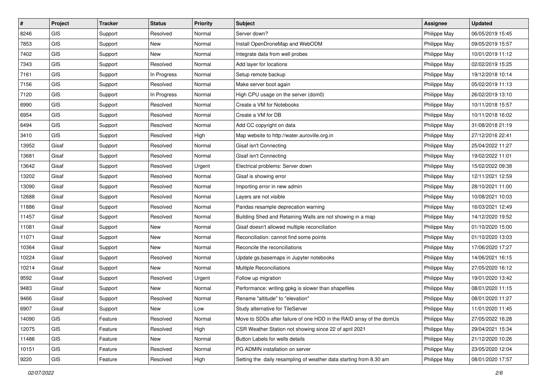| #     | Project    | <b>Tracker</b> | <b>Status</b> | <b>Priority</b> | Subject                                                              | <b>Assignee</b> | <b>Updated</b>   |
|-------|------------|----------------|---------------|-----------------|----------------------------------------------------------------------|-----------------|------------------|
| 8246  | GIS        | Support        | Resolved      | Normal          | Server down?                                                         | Philippe May    | 06/05/2019 15:45 |
| 7853  | <b>GIS</b> | Support        | <b>New</b>    | Normal          | Install OpenDroneMap and WebODM                                      | Philippe May    | 09/05/2019 15:57 |
| 7402  | GIS        | Support        | New           | Normal          | Integrate data from well probes                                      | Philippe May    | 10/01/2019 11:12 |
| 7343  | GIS        | Support        | Resolved      | Normal          | Add layer for locations                                              | Philippe May    | 02/02/2019 15:25 |
| 7161  | GIS        | Support        | In Progress   | Normal          | Setup remote backup                                                  | Philippe May    | 19/12/2018 10:14 |
| 7156  | <b>GIS</b> | Support        | Resolved      | Normal          | Make server boot again                                               | Philippe May    | 05/02/2019 11:13 |
| 7120  | GIS        | Support        | In Progress   | Normal          | High CPU usage on the server (dom0)                                  | Philippe May    | 26/02/2019 13:10 |
| 6990  | GIS        | Support        | Resolved      | Normal          | Create a VM for Notebooks                                            | Philippe May    | 10/11/2018 15:57 |
| 6954  | GIS        | Support        | Resolved      | Normal          | Create a VM for DB                                                   | Philippe May    | 10/11/2018 16:02 |
| 6494  | <b>GIS</b> | Support        | Resolved      | Normal          | Add CC copyright on data                                             | Philippe May    | 31/08/2018 21:19 |
| 3410  | <b>GIS</b> | Support        | Resolved      | High            | Map website to http://water.auroville.org.in                         | Philippe May    | 27/12/2016 22:41 |
| 13952 | Gisaf      | Support        | Resolved      | Normal          | Gisaf isn't Connecting                                               | Philippe May    | 25/04/2022 11:27 |
| 13681 | Gisaf      | Support        | Resolved      | Normal          | Gisaf isn't Connecting                                               | Philippe May    | 19/02/2022 11:01 |
| 13642 | Gisaf      | Support        | Resolved      | Urgent          | Electrical problems: Server down                                     | Philippe May    | 15/02/2022 09:38 |
| 13202 | Gisaf      | Support        | Resolved      | Normal          | Gisaf is showing error                                               | Philippe May    | 12/11/2021 12:59 |
| 13090 | Gisaf      | Support        | Resolved      | Normal          | Importing error in new admin                                         | Philippe May    | 28/10/2021 11:00 |
| 12688 | Gisaf      | Support        | Resolved      | Normal          | Layers are not visible                                               | Philippe May    | 10/08/2021 10:03 |
| 11886 | Gisaf      | Support        | Resolved      | Normal          | Pandas resample deprecation warning                                  | Philippe May    | 16/03/2021 12:49 |
| 11457 | Gisaf      | Support        | Resolved      | Normal          | Building Shed and Retaining Walls are not showing in a map           | Philippe May    | 14/12/2020 19:52 |
| 11081 | Gisaf      | Support        | <b>New</b>    | Normal          | Gisaf doesn't allowed multiple reconciliation                        | Philippe May    | 01/10/2020 15:00 |
| 11071 | Gisaf      | Support        | New           | Normal          | Reconciliation: cannot find some points                              | Philippe May    | 01/10/2020 13:03 |
| 10364 | Gisaf      | Support        | <b>New</b>    | Normal          | Reconcile the reconciliations                                        | Philippe May    | 17/06/2020 17:27 |
| 10224 | Gisaf      | Support        | Resolved      | Normal          | Update gs.basemaps in Jupyter notebooks                              | Philippe May    | 14/06/2021 16:15 |
| 10214 | Gisaf      | Support        | New           | Normal          | Multiple Reconciliations                                             | Philippe May    | 27/05/2020 16:12 |
| 9592  | Gisaf      | Support        | Resolved      | Urgent          | Follow up migration                                                  | Philippe May    | 19/01/2020 13:42 |
| 9483  | Gisaf      | Support        | New           | Normal          | Performance: writing gpkg is slower than shapefiles                  | Philippe May    | 08/01/2020 11:15 |
| 9466  | Gisaf      | Support        | Resolved      | Normal          | Rename "altitude" to "elevation"                                     | Philippe May    | 08/01/2020 11:27 |
| 6907  | Gisaf      | Support        | New           | Low             | Study alternative for TileServer                                     | Philippe May    | 11/01/2020 11:45 |
| 14090 | GIS.       | Feature        | Resolved      | Normal          | Move to SDDs after failure of one HDD in the RAID array of the domUs | Philippe May    | 27/05/2022 16:28 |
| 12075 | GIS        | Feature        | Resolved      | High            | CSR Weather Station not showing since 22 of april 2021               | Philippe May    | 29/04/2021 15:34 |
| 11486 | GIS        | Feature        | New           | Normal          | Button Labels for wells details                                      | Philippe May    | 21/12/2020 10:26 |
| 10151 | GIS        | Feature        | Resolved      | Normal          | PG ADMIN installation on server                                      | Philippe May    | 23/05/2020 12:04 |
| 9220  | GIS        | Feature        | Resolved      | High            | Setting the daily resampling of weather data starting from 8.30 am   | Philippe May    | 08/01/2020 17:57 |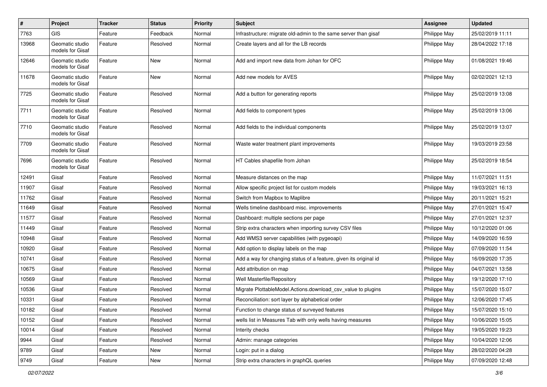| $\vert$ # | Project                             | <b>Tracker</b> | <b>Status</b> | <b>Priority</b> | <b>Subject</b>                                                    | <b>Assignee</b> | <b>Updated</b>   |
|-----------|-------------------------------------|----------------|---------------|-----------------|-------------------------------------------------------------------|-----------------|------------------|
| 7763      | <b>GIS</b>                          | Feature        | Feedback      | Normal          | Infrastructure: migrate old-admin to the same server than gisaf   | Philippe May    | 25/02/2019 11:11 |
| 13968     | Geomatic studio<br>models for Gisaf | Feature        | Resolved      | Normal          | Create layers and all for the LB records                          | Philippe May    | 28/04/2022 17:18 |
| 12646     | Geomatic studio<br>models for Gisaf | Feature        | New           | Normal          | Add and import new data from Johan for OFC                        | Philippe May    | 01/08/2021 19:46 |
| 11678     | Geomatic studio<br>models for Gisaf | Feature        | New           | Normal          | Add new models for AVES                                           | Philippe May    | 02/02/2021 12:13 |
| 7725      | Geomatic studio<br>models for Gisaf | Feature        | Resolved      | Normal          | Add a button for generating reports                               | Philippe May    | 25/02/2019 13:08 |
| 7711      | Geomatic studio<br>models for Gisaf | Feature        | Resolved      | Normal          | Add fields to component types                                     | Philippe May    | 25/02/2019 13:06 |
| 7710      | Geomatic studio<br>models for Gisaf | Feature        | Resolved      | Normal          | Add fields to the individual components                           | Philippe May    | 25/02/2019 13:07 |
| 7709      | Geomatic studio<br>models for Gisaf | Feature        | Resolved      | Normal          | Waste water treatment plant improvements                          | Philippe May    | 19/03/2019 23:58 |
| 7696      | Geomatic studio<br>models for Gisaf | Feature        | Resolved      | Normal          | HT Cables shapefile from Johan                                    | Philippe May    | 25/02/2019 18:54 |
| 12491     | Gisaf                               | Feature        | Resolved      | Normal          | Measure distances on the map                                      | Philippe May    | 11/07/2021 11:51 |
| 11907     | Gisaf                               | Feature        | Resolved      | Normal          | Allow specific project list for custom models                     | Philippe May    | 19/03/2021 16:13 |
| 11762     | Gisaf                               | Feature        | Resolved      | Normal          | Switch from Mapbox to Maplibre                                    | Philippe May    | 20/11/2021 15:21 |
| 11649     | Gisaf                               | Feature        | Resolved      | Normal          | Wells timeline dashboard misc. improvements                       | Philippe May    | 27/01/2021 15:47 |
| 11577     | Gisaf                               | Feature        | Resolved      | Normal          | Dashboard: multiple sections per page                             | Philippe May    | 27/01/2021 12:37 |
| 11449     | Gisaf                               | Feature        | Resolved      | Normal          | Strip extra characters when importing survey CSV files            | Philippe May    | 10/12/2020 01:06 |
| 10948     | Gisaf                               | Feature        | Resolved      | Normal          | Add WMS3 server capabilities (with pygeoapi)                      | Philippe May    | 14/09/2020 16:59 |
| 10920     | Gisaf                               | Feature        | Resolved      | Normal          | Add option to display labels on the map                           | Philippe May    | 07/09/2020 11:54 |
| 10741     | Gisaf                               | Feature        | Resolved      | Normal          | Add a way for changing status of a feature, given its original id | Philippe May    | 16/09/2020 17:35 |
| 10675     | Gisaf                               | Feature        | Resolved      | Normal          | Add attribution on map                                            | Philippe May    | 04/07/2021 13:58 |
| 10569     | Gisaf                               | Feature        | Resolved      | Normal          | <b>Well Masterfile/Repository</b>                                 | Philippe May    | 19/12/2020 17:10 |
| 10536     | Gisaf                               | Feature        | Resolved      | Normal          | Migrate PlottableModel.Actions.download_csv_value to plugins      | Philippe May    | 15/07/2020 15:07 |
| 10331     | Gisaf                               | Feature        | Resolved      | Normal          | Reconciliation: sort layer by alphabetical order                  | Philippe May    | 12/06/2020 17:45 |
| 10182     | Gisaf                               | Feature        | Resolved      | Normal          | Function to change status of surveyed features                    | Philippe May    | 15/07/2020 15:10 |
| 10152     | Gisaf                               | Feature        | Resolved      | Normal          | wells list in Measures Tab with only wells having measures        | Philippe May    | 10/06/2020 15:05 |
| 10014     | Gisaf                               | Feature        | Resolved      | Normal          | Interity checks                                                   | Philippe May    | 19/05/2020 19:23 |
| 9944      | Gisaf                               | Feature        | Resolved      | Normal          | Admin: manage categories                                          | Philippe May    | 10/04/2020 12:06 |
| 9789      | Gisaf                               | Feature        | New           | Normal          | Login: put in a dialog                                            | Philippe May    | 28/02/2020 04:28 |
| 9749      | Gisaf                               | Feature        | New           | Normal          | Strip extra characters in graphQL queries                         | Philippe May    | 07/09/2020 12:48 |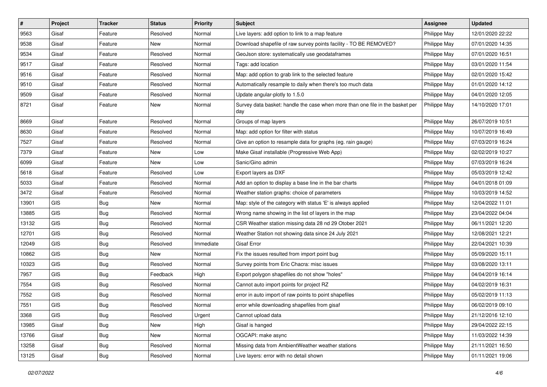| $\sharp$ | Project    | <b>Tracker</b> | <b>Status</b> | <b>Priority</b> | Subject                                                                              | <b>Assignee</b> | <b>Updated</b>   |
|----------|------------|----------------|---------------|-----------------|--------------------------------------------------------------------------------------|-----------------|------------------|
| 9563     | Gisaf      | Feature        | Resolved      | Normal          | Live layers: add option to link to a map feature                                     | Philippe May    | 12/01/2020 22:22 |
| 9538     | Gisaf      | Feature        | <b>New</b>    | Normal          | Download shapefile of raw survey points facility - TO BE REMOVED?                    | Philippe May    | 07/01/2020 14:35 |
| 9534     | Gisaf      | Feature        | Resolved      | Normal          | GeoJson store: systematically use geodataframes                                      | Philippe May    | 07/01/2020 16:51 |
| 9517     | Gisaf      | Feature        | Resolved      | Normal          | Tags: add location                                                                   | Philippe May    | 03/01/2020 11:54 |
| 9516     | Gisaf      | Feature        | Resolved      | Normal          | Map: add option to grab link to the selected feature                                 | Philippe May    | 02/01/2020 15:42 |
| 9510     | Gisaf      | Feature        | Resolved      | Normal          | Automatically resample to daily when there's too much data                           | Philippe May    | 01/01/2020 14:12 |
| 9509     | Gisaf      | Feature        | Resolved      | Normal          | Update angular-plotly to 1.5.0                                                       | Philippe May    | 04/01/2020 12:05 |
| 8721     | Gisaf      | Feature        | New           | Normal          | Survey data basket: handle the case when more than one file in the basket per<br>day | Philippe May    | 14/10/2020 17:01 |
| 8669     | Gisaf      | Feature        | Resolved      | Normal          | Groups of map layers                                                                 | Philippe May    | 26/07/2019 10:51 |
| 8630     | Gisaf      | Feature        | Resolved      | Normal          | Map: add option for filter with status                                               | Philippe May    | 10/07/2019 16:49 |
| 7527     | Gisaf      | Feature        | Resolved      | Normal          | Give an option to resample data for graphs (eg. rain gauge)                          | Philippe May    | 07/03/2019 16:24 |
| 7379     | Gisaf      | Feature        | New           | Low             | Make Gisaf installable (Progressive Web App)                                         | Philippe May    | 02/02/2019 10:27 |
| 6099     | Gisaf      | Feature        | New           | Low             | Sanic/Gino admin                                                                     | Philippe May    | 07/03/2019 16:24 |
| 5618     | Gisaf      | Feature        | Resolved      | Low             | Export layers as DXF                                                                 | Philippe May    | 05/03/2019 12:42 |
| 5033     | Gisaf      | Feature        | Resolved      | Normal          | Add an option to display a base line in the bar charts                               | Philippe May    | 04/01/2018 01:09 |
| 3472     | Gisaf      | Feature        | Resolved      | Normal          | Weather station graphs: choice of parameters                                         | Philippe May    | 10/03/2019 14:52 |
| 13901    | <b>GIS</b> | Bug            | <b>New</b>    | Normal          | Map: style of the category with status 'E' is always applied                         | Philippe May    | 12/04/2022 11:01 |
| 13885    | GIS        | <b>Bug</b>     | Resolved      | Normal          | Wrong name showing in the list of layers in the map                                  | Philippe May    | 23/04/2022 04:04 |
| 13132    | <b>GIS</b> | <b>Bug</b>     | Resolved      | Normal          | CSR Weather station missing data 28 nd 29 Otober 2021                                | Philippe May    | 06/11/2021 12:20 |
| 12701    | GIS        | <b>Bug</b>     | Resolved      | Normal          | Weather Station not showing data since 24 July 2021                                  | Philippe May    | 12/08/2021 12:21 |
| 12049    | GIS        | <b>Bug</b>     | Resolved      | Immediate       | Gisaf Error                                                                          | Philippe May    | 22/04/2021 10:39 |
| 10862    | <b>GIS</b> | <b>Bug</b>     | <b>New</b>    | Normal          | Fix the issues resulted from import point bug                                        | Philippe May    | 05/09/2020 15:11 |
| 10323    | <b>GIS</b> | <b>Bug</b>     | Resolved      | Normal          | Survey points from Eric Chacra: misc issues                                          | Philippe May    | 03/08/2020 13:11 |
| 7957     | GIS        | <b>Bug</b>     | Feedback      | High            | Export polygon shapefiles do not show "holes"                                        | Philippe May    | 04/04/2019 16:14 |
| 7554     | GIS        | <b>Bug</b>     | Resolved      | Normal          | Cannot auto import points for project RZ                                             | Philippe May    | 04/02/2019 16:31 |
| 7552     | GIS        | Bug            | Resolved      | Normal          | error in auto import of raw points to point shapefiles                               | Philippe May    | 05/02/2019 11:13 |
| 7551     | GIS        | <b>Bug</b>     | Resolved      | Normal          | error while downloading shapefiles from gisaf                                        | Philippe May    | 06/02/2019 09:10 |
| 3368     | GIS        | Bug            | Resolved      | Urgent          | Cannot upload data                                                                   | Philippe May    | 21/12/2016 12:10 |
| 13985    | Gisaf      | Bug            | New           | High            | Gisaf is hanged                                                                      | Philippe May    | 29/04/2022 22:15 |
| 13766    | Gisaf      | <b>Bug</b>     | New           | Normal          | OGCAPI: make async                                                                   | Philippe May    | 11/03/2022 14:39 |
| 13258    | Gisaf      | <b>Bug</b>     | Resolved      | Normal          | Missing data from AmbientWeather weather stations                                    | Philippe May    | 21/11/2021 16:50 |
| 13125    | Gisaf      | <b>Bug</b>     | Resolved      | Normal          | Live layers: error with no detail shown                                              | Philippe May    | 01/11/2021 19:06 |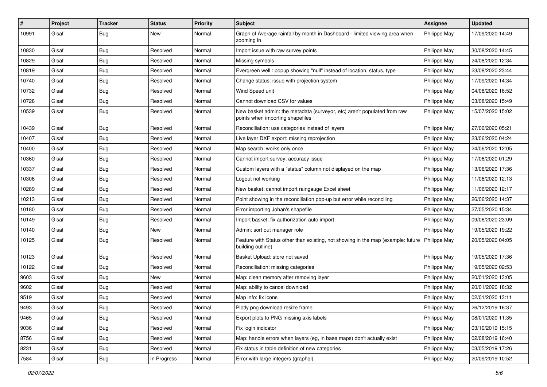| #     | Project | <b>Tracker</b> | <b>Status</b> | <b>Priority</b> | Subject                                                                                                              | <b>Assignee</b> | <b>Updated</b>   |
|-------|---------|----------------|---------------|-----------------|----------------------------------------------------------------------------------------------------------------------|-----------------|------------------|
| 10991 | Gisaf   | <b>Bug</b>     | New           | Normal          | Graph of Average rainfall by month in Dashboard - limited viewing area when<br>zooming in                            | Philippe May    | 17/09/2020 14:49 |
| 10830 | Gisaf   | <b>Bug</b>     | Resolved      | Normal          | Import issue with raw survey points                                                                                  | Philippe May    | 30/08/2020 14:45 |
| 10829 | Gisaf   | <b>Bug</b>     | Resolved      | Normal          | Missing symbols                                                                                                      | Philippe May    | 24/08/2020 12:34 |
| 10819 | Gisaf   | Bug            | Resolved      | Normal          | Evergreen well : popup showing "null" instead of location, status, type                                              | Philippe May    | 23/08/2020 23:44 |
| 10740 | Gisaf   | <b>Bug</b>     | Resolved      | Normal          | Change status: issue with projection system                                                                          | Philippe May    | 17/09/2020 14:34 |
| 10732 | Gisaf   | Bug            | Resolved      | Normal          | Wind Speed unit                                                                                                      | Philippe May    | 04/08/2020 16:52 |
| 10728 | Gisaf   | <b>Bug</b>     | Resolved      | Normal          | Cannot download CSV for values                                                                                       | Philippe May    | 03/08/2020 15:49 |
| 10539 | Gisaf   | <b>Bug</b>     | Resolved      | Normal          | New basket admin: the metadata (surveyor, etc) aren't populated from raw<br>points when importing shapefiles         | Philippe May    | 15/07/2020 15:02 |
| 10439 | Gisaf   | <b>Bug</b>     | Resolved      | Normal          | Reconciliation: use categories instead of layers                                                                     | Philippe May    | 27/06/2020 05:21 |
| 10407 | Gisaf   | <b>Bug</b>     | Resolved      | Normal          | Live layer DXF export: missing reprojection                                                                          | Philippe May    | 23/06/2020 04:24 |
| 10400 | Gisaf   | <b>Bug</b>     | Resolved      | Normal          | Map search: works only once                                                                                          | Philippe May    | 24/06/2020 12:05 |
| 10360 | Gisaf   | <b>Bug</b>     | Resolved      | Normal          | Cannot import survey: accuracy issue                                                                                 | Philippe May    | 17/06/2020 01:29 |
| 10337 | Gisaf   | <b>Bug</b>     | Resolved      | Normal          | Custom layers with a "status" column not displayed on the map                                                        | Philippe May    | 13/06/2020 17:36 |
| 10306 | Gisaf   | Bug            | Resolved      | Normal          | Logout not working                                                                                                   | Philippe May    | 11/06/2020 12:13 |
| 10289 | Gisaf   | <b>Bug</b>     | Resolved      | Normal          | New basket: cannot import raingauge Excel sheet                                                                      | Philippe May    | 11/06/2020 12:17 |
| 10213 | Gisaf   | Bug            | Resolved      | Normal          | Point showing in the reconciliation pop-up but error while reconciling                                               | Philippe May    | 26/06/2020 14:37 |
| 10180 | Gisaf   | <b>Bug</b>     | Resolved      | Normal          | Error importing Johan's shapefile                                                                                    | Philippe May    | 27/05/2020 15:34 |
| 10149 | Gisaf   | <b>Bug</b>     | Resolved      | Normal          | Import basket: fix authorization auto import                                                                         | Philippe May    | 09/06/2020 23:09 |
| 10140 | Gisaf   | <b>Bug</b>     | New           | Normal          | Admin: sort out manager role                                                                                         | Philippe May    | 19/05/2020 19:22 |
| 10125 | Gisaf   | <b>Bug</b>     | Resolved      | Normal          | Feature with Status other than existing, not showing in the map (example: future   Philippe May<br>building outline) |                 | 20/05/2020 04:05 |
| 10123 | Gisaf   | <b>Bug</b>     | Resolved      | Normal          | Basket Upload: store not saved                                                                                       | Philippe May    | 19/05/2020 17:36 |
| 10122 | Gisaf   | <b>Bug</b>     | Resolved      | Normal          | Reconciliation: missing categories                                                                                   | Philippe May    | 19/05/2020 02:53 |
| 9603  | Gisaf   | <b>Bug</b>     | <b>New</b>    | Normal          | Map: clean memory after removing layer                                                                               | Philippe May    | 20/01/2020 13:05 |
| 9602  | Gisaf   | <b>Bug</b>     | Resolved      | Normal          | Map: ability to cancel download                                                                                      | Philippe May    | 20/01/2020 18:32 |
| 9519  | Gisaf   | <b>Bug</b>     | Resolved      | Normal          | Map info: fix icons                                                                                                  | Philippe May    | 02/01/2020 13:11 |
| 9493  | Gisaf   | Bug            | Resolved      | Normal          | Plotly png download resize frame                                                                                     | Philippe May    | 26/12/2019 16:37 |
| 9465  | Gisaf   | Bug            | Resolved      | Normal          | Export plots to PNG missing axis labels                                                                              | Philippe May    | 08/01/2020 11:35 |
| 9036  | Gisaf   | <b>Bug</b>     | Resolved      | Normal          | Fix login indicator                                                                                                  | Philippe May    | 03/10/2019 15:15 |
| 8756  | Gisaf   | <b>Bug</b>     | Resolved      | Normal          | Map: handle errors when layers (eg, in base maps) don't actually exist                                               | Philippe May    | 02/08/2019 16:40 |
| 8231  | Gisaf   | <b>Bug</b>     | Resolved      | Normal          | Fix status in table definition of new categories                                                                     | Philippe May    | 03/05/2019 17:26 |
| 7584  | Gisaf   | Bug            | In Progress   | Normal          | Error with large integers (graphql)                                                                                  | Philippe May    | 20/09/2019 10:52 |